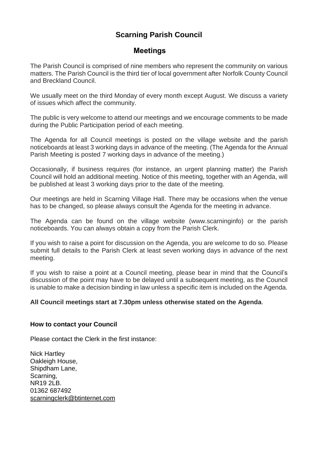# **Scarning Parish Council**

# **Meetings**

The Parish Council is comprised of nine members who represent the community on various matters. The Parish Council is the third tier of local government after Norfolk County Council and Breckland Council.

We usually meet on the third Monday of every month except August. We discuss a variety of issues which affect the community.

The public is very welcome to attend our meetings and we encourage comments to be made during the Public Participation period of each meeting.

The Agenda for all Council meetings is posted on the village website and the parish noticeboards at least 3 working days in advance of the meeting. (The Agenda for the Annual Parish Meeting is posted 7 working days in advance of the meeting.)

Occasionally, if business requires (for instance, an urgent planning matter) the Parish Council will hold an additional meeting. Notice of this meeting, together with an Agenda, will be published at least 3 working days prior to the date of the meeting.

Our meetings are held in Scarning Village Hall. There may be occasions when the venue has to be changed, so please always consult the Agenda for the meeting in advance.

The Agenda can be found on the village website (www.scarninginfo) or the parish noticeboards. You can always obtain a copy from the Parish Clerk.

If you wish to raise a point for discussion on the Agenda, you are welcome to do so. Please submit full details to the Parish Clerk at least seven working days in advance of the next meeting.

If you wish to raise a point at a Council meeting, please bear in mind that the Council's discussion of the point may have to be delayed until a subsequent meeting, as the Council is unable to make a decision binding in law unless a specific item is included on the Agenda.

#### **All Council meetings start at 7.30pm unless otherwise stated on the Agenda**.

#### **How to contact your Council**

Please contact the Clerk in the first instance:

Nick Hartley Oakleigh House, Shipdham Lane, Scarning, NR19 2LB. 01362 687492 [scarningclerk@btinternet.com](mailto:scarningclerk@btinternet.com)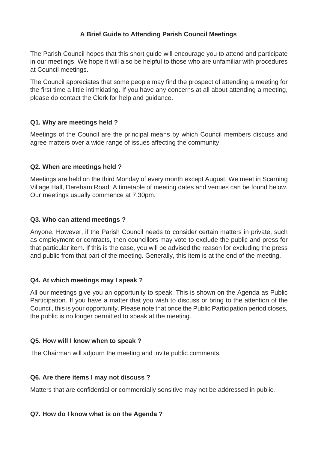# **A Brief Guide to Attending Parish Council Meetings**

The Parish Council hopes that this short guide will encourage you to attend and participate in our meetings. We hope it will also be helpful to those who are unfamiliar with procedures at Council meetings.

The Council appreciates that some people may find the prospect of attending a meeting for the first time a little intimidating. If you have any concerns at all about attending a meeting, please do contact the Clerk for help and guidance.

### **Q1. Why are meetings held ?**

Meetings of the Council are the principal means by which Council members discuss and agree matters over a wide range of issues affecting the community.

#### **Q2. When are meetings held ?**

Meetings are held on the third Monday of every month except August. We meet in Scarning Village Hall, Dereham Road. A timetable of meeting dates and venues can be found below. Our meetings usually commence at 7.30pm.

#### **Q3. Who can attend meetings ?**

Anyone, However, if the Parish Council needs to consider certain matters in private, such as employment or contracts, then councillors may vote to exclude the public and press for that particular item. If this is the case, you will be advised the reason for excluding the press and public from that part of the meeting. Generally, this item is at the end of the meeting.

#### **Q4. At which meetings may I speak ?**

All our meetings give you an opportunity to speak. This is shown on the Agenda as Public Participation. If you have a matter that you wish to discuss or bring to the attention of the Council, this is your opportunity. Please note that once the Public Participation period closes, the public is no longer permitted to speak at the meeting.

#### **Q5. How will I know when to speak ?**

The Chairman will adjourn the meeting and invite public comments.

#### **Q6. Are there items I may not discuss ?**

Matters that are confidential or commercially sensitive may not be addressed in public.

#### **Q7. How do I know what is on the Agenda ?**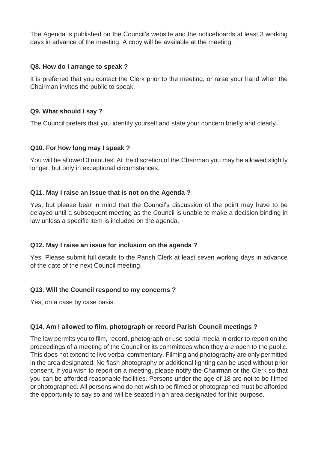The Agenda is published on the Council's website and the noticeboards at least 3 working days in advance of the meeting. A copy will be available at the meeting.

### **Q8. How do I arrange to speak ?**

It is preferred that you contact the Clerk prior to the meeting, or raise your hand when the Chairman invites the public to speak.

## **Q9. What should I say ?**

The Council prefers that you identify yourself and state your concern briefly and clearly.

### **Q10. For how long may I speak ?**

You will be allowed 3 minutes. At the discretion of the Chairman you may be allowed slightly longer, but only in exceptional circumstances.

# **Q11. May I raise an issue that is not on the Agenda ?**

Yes, but please bear in mind that the Council's discussion of the point may have to be delayed until a subsequent meeting as the Council is unable to make a decision binding in law unless a specific item is included on the agenda.

# **Q12. May I raise an issue for inclusion on the agenda ?**

Yes. Please submit full details to the Parish Clerk at least seven working days in advance of the date of the next Council meeting.

### **Q13. Will the Council respond to my concerns ?**

Yes, on a case by case basis.

# **Q14. Am I allowed to film, photograph or record Parish Council meetings ?**

The law permits you to film, record, photograph or use social media in order to report on the proceedings of a meeting of the Council or its committees when they are open to the public. This does not extend to live verbal commentary. Filming and photography are only permitted in the area designated. No flash photography or additional lighting can be used without prior consent. If you wish to report on a meeting, please notify the Chairman or the Clerk so that you can be afforded reasonable facilities. Persons under the age of 18 are not to be filmed or photographed. All persons who do not wish to be filmed or photographed must be afforded the opportunity to say so and will be seated in an area designated for this purpose.